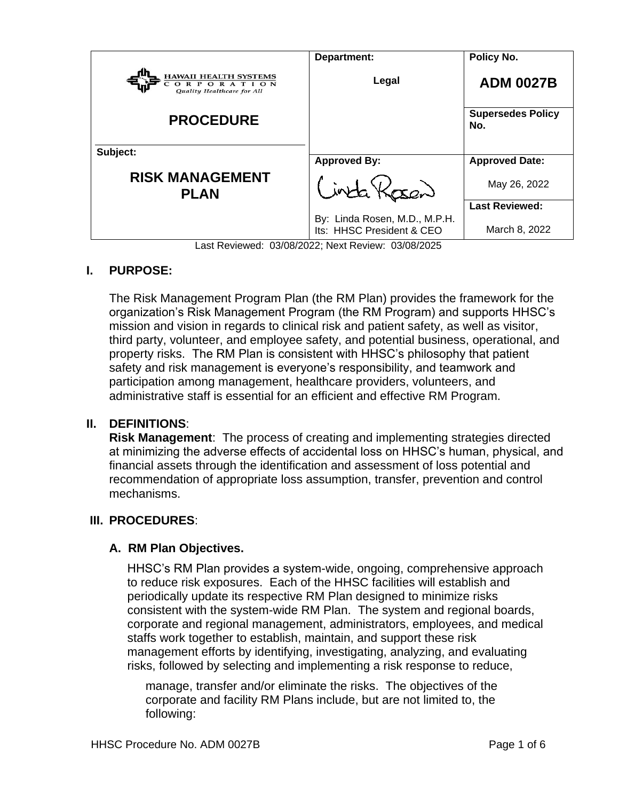| <b>HAWAII HEALTH SYSTEMS</b>             | Department:                                                                                                                                                                                                       | Policy No.                      |
|------------------------------------------|-------------------------------------------------------------------------------------------------------------------------------------------------------------------------------------------------------------------|---------------------------------|
| ORPORATION<br>Quality Healthcare for All | Legal                                                                                                                                                                                                             | <b>ADM 0027B</b>                |
| <b>PROCEDURE</b>                         |                                                                                                                                                                                                                   | <b>Supersedes Policy</b><br>No. |
| Subject:                                 | <b>Approved By:</b>                                                                                                                                                                                               | <b>Approved Date:</b>           |
| <b>RISK MANAGEMENT</b><br><b>PLAN</b>    | $inta \times$                                                                                                                                                                                                     | May 26, 2022                    |
|                                          |                                                                                                                                                                                                                   | <b>Last Reviewed:</b>           |
| $\sim$ $\sim$ $\sim$ $\sim$              | By: Linda Rosen, M.D., M.P.H.<br>Its: HHSC President & CEO<br>$\overline{a}$ and $\overline{a}$ and $\overline{a}$ and $\overline{a}$ and $\overline{a}$ and $\overline{a}$ and $\overline{a}$ and $\overline{a}$ | March 8, 2022                   |

Last Reviewed: 03/08/2022; Next Review: 03/08/2025

### **I. PURPOSE:**

The Risk Management Program Plan (the RM Plan) provides the framework for the organization's Risk Management Program (the RM Program) and supports HHSC's mission and vision in regards to clinical risk and patient safety, as well as visitor, third party, volunteer, and employee safety, and potential business, operational, and property risks. The RM Plan is consistent with HHSC's philosophy that patient safety and risk management is everyone's responsibility, and teamwork and participation among management, healthcare providers, volunteers, and administrative staff is essential for an efficient and effective RM Program.

### **II. DEFINITIONS**:

**Risk Management**: The process of creating and implementing strategies directed at minimizing the adverse effects of accidental loss on HHSC's human, physical, and financial assets through the identification and assessment of loss potential and recommendation of appropriate loss assumption, transfer, prevention and control mechanisms.

### **III. PROCEDURES**:

### **A. RM Plan Objectives.**

HHSC's RM Plan provides a system-wide, ongoing, comprehensive approach to reduce risk exposures. Each of the HHSC facilities will establish and periodically update its respective RM Plan designed to minimize risks consistent with the system-wide RM Plan. The system and regional boards, corporate and regional management, administrators, employees, and medical staffs work together to establish, maintain, and support these risk management efforts by identifying, investigating, analyzing, and evaluating risks, followed by selecting and implementing a risk response to reduce,

manage, transfer and/or eliminate the risks. The objectives of the corporate and facility RM Plans include, but are not limited to, the following: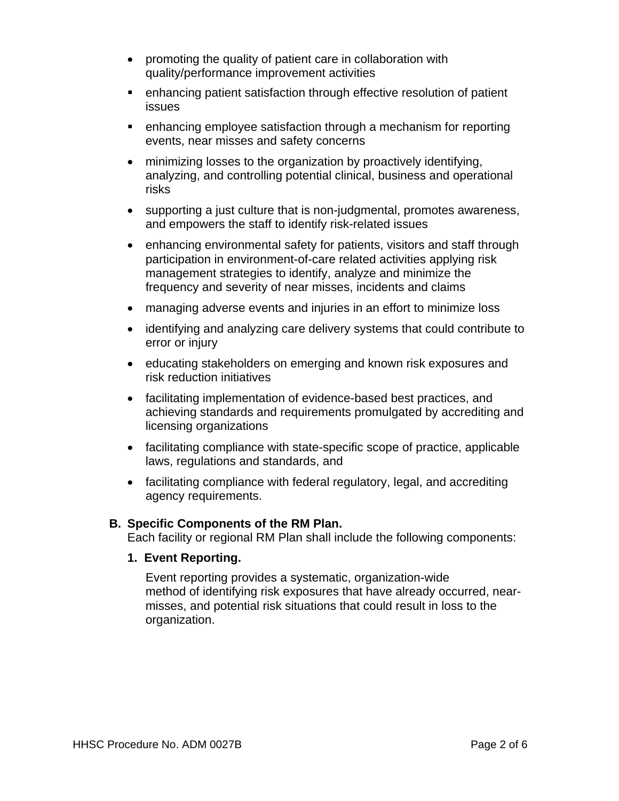- promoting the quality of patient care in collaboration with quality/performance improvement activities
- enhancing patient satisfaction through effective resolution of patient issues
- enhancing employee satisfaction through a mechanism for reporting events, near misses and safety concerns
- minimizing losses to the organization by proactively identifying, analyzing, and controlling potential clinical, business and operational risks
- supporting a just culture that is non-judgmental, promotes awareness, and empowers the staff to identify risk-related issues
- enhancing environmental safety for patients, visitors and staff through participation in environment-of-care related activities applying risk management strategies to identify, analyze and minimize the frequency and severity of near misses, incidents and claims
- managing adverse events and injuries in an effort to minimize loss
- identifying and analyzing care delivery systems that could contribute to error or injury
- educating stakeholders on emerging and known risk exposures and risk reduction initiatives
- facilitating implementation of evidence-based best practices, and achieving standards and requirements promulgated by accrediting and licensing organizations
- facilitating compliance with state-specific scope of practice, applicable laws, regulations and standards, and
- facilitating compliance with federal regulatory, legal, and accrediting agency requirements.

#### **B. Specific Components of the RM Plan.**

Each facility or regional RM Plan shall include the following components:

**1. Event Reporting.**

Event reporting provides a systematic, organization-wide method of identifying risk exposures that have already occurred, nearmisses, and potential risk situations that could result in loss to the organization.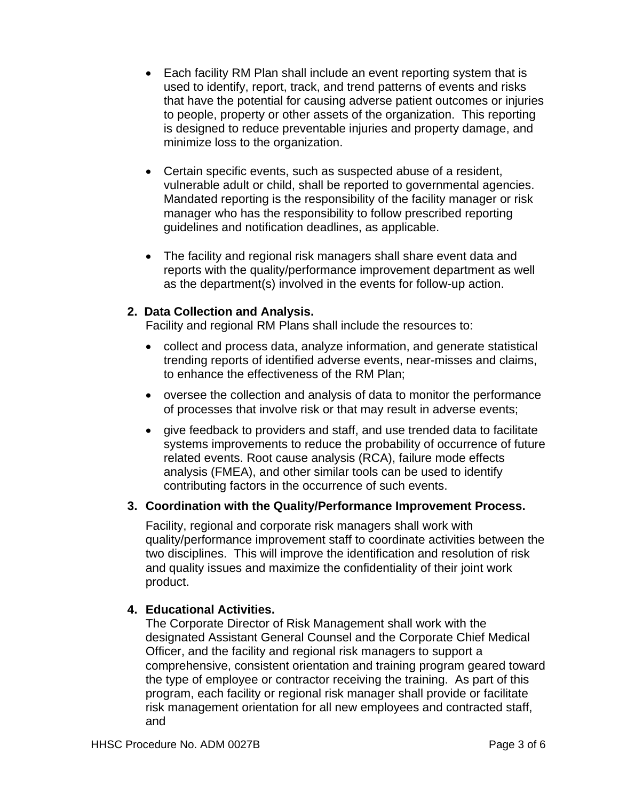- Each facility RM Plan shall include an event reporting system that is used to identify, report, track, and trend patterns of events and risks that have the potential for causing adverse patient outcomes or injuries to people, property or other assets of the organization. This reporting is designed to reduce preventable injuries and property damage, and minimize loss to the organization.
- Certain specific events, such as suspected abuse of a resident, vulnerable adult or child, shall be reported to governmental agencies. Mandated reporting is the responsibility of the facility manager or risk manager who has the responsibility to follow prescribed reporting guidelines and notification deadlines, as applicable.
- The facility and regional risk managers shall share event data and reports with the quality/performance improvement department as well as the department(s) involved in the events for follow-up action.

# **2. Data Collection and Analysis.**

Facility and regional RM Plans shall include the resources to:

- collect and process data, analyze information, and generate statistical trending reports of identified adverse events, near-misses and claims, to enhance the effectiveness of the RM Plan;
- oversee the collection and analysis of data to monitor the performance of processes that involve risk or that may result in adverse events;
- give feedback to providers and staff, and use trended data to facilitate systems improvements to reduce the probability of occurrence of future related events. Root cause analysis (RCA), failure mode effects analysis (FMEA), and other similar tools can be used to identify contributing factors in the occurrence of such events.

### **3. Coordination with the Quality/Performance Improvement Process.**

Facility, regional and corporate risk managers shall work with quality/performance improvement staff to coordinate activities between the two disciplines. This will improve the identification and resolution of risk and quality issues and maximize the confidentiality of their joint work product.

# **4. Educational Activities.**

The Corporate Director of Risk Management shall work with the designated Assistant General Counsel and the Corporate Chief Medical Officer, and the facility and regional risk managers to support a comprehensive, consistent orientation and training program geared toward the type of employee or contractor receiving the training. As part of this program, each facility or regional risk manager shall provide or facilitate risk management orientation for all new employees and contracted staff, and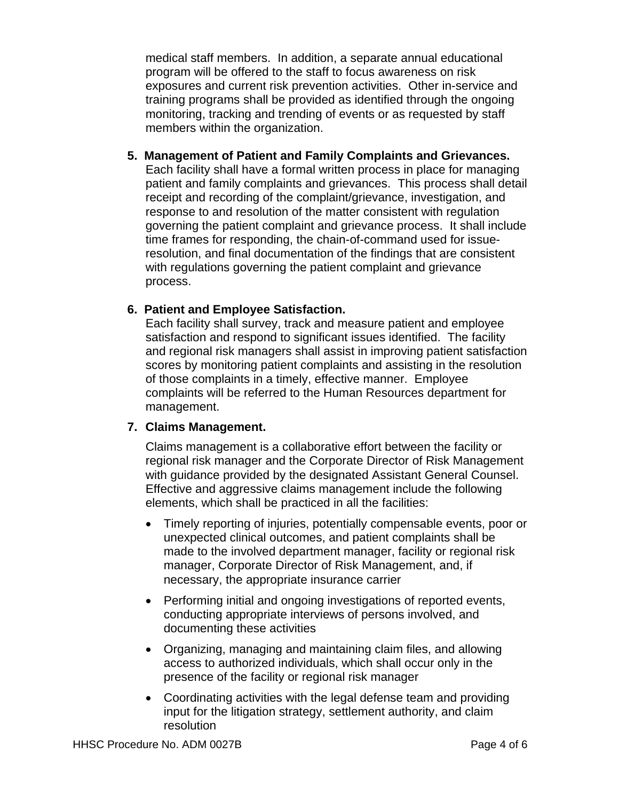medical staff members. In addition, a separate annual educational program will be offered to the staff to focus awareness on risk exposures and current risk prevention activities. Other in-service and training programs shall be provided as identified through the ongoing monitoring, tracking and trending of events or as requested by staff members within the organization.

**5. Management of Patient and Family Complaints and Grievances.**

Each facility shall have a formal written process in place for managing patient and family complaints and grievances. This process shall detail receipt and recording of the complaint/grievance, investigation, and response to and resolution of the matter consistent with regulation governing the patient complaint and grievance process. It shall include time frames for responding, the chain-of-command used for issueresolution, and final documentation of the findings that are consistent with regulations governing the patient complaint and grievance process.

# **6. Patient and Employee Satisfaction.**

Each facility shall survey, track and measure patient and employee satisfaction and respond to significant issues identified. The facility and regional risk managers shall assist in improving patient satisfaction scores by monitoring patient complaints and assisting in the resolution of those complaints in a timely, effective manner. Employee complaints will be referred to the Human Resources department for management.

# **7. Claims Management.**

Claims management is a collaborative effort between the facility or regional risk manager and the Corporate Director of Risk Management with guidance provided by the designated Assistant General Counsel. Effective and aggressive claims management include the following elements, which shall be practiced in all the facilities:

- Timely reporting of injuries, potentially compensable events, poor or unexpected clinical outcomes, and patient complaints shall be made to the involved department manager, facility or regional risk manager, Corporate Director of Risk Management, and, if necessary, the appropriate insurance carrier
- Performing initial and ongoing investigations of reported events, conducting appropriate interviews of persons involved, and documenting these activities
- Organizing, managing and maintaining claim files, and allowing access to authorized individuals, which shall occur only in the presence of the facility or regional risk manager
- Coordinating activities with the legal defense team and providing input for the litigation strategy, settlement authority, and claim resolution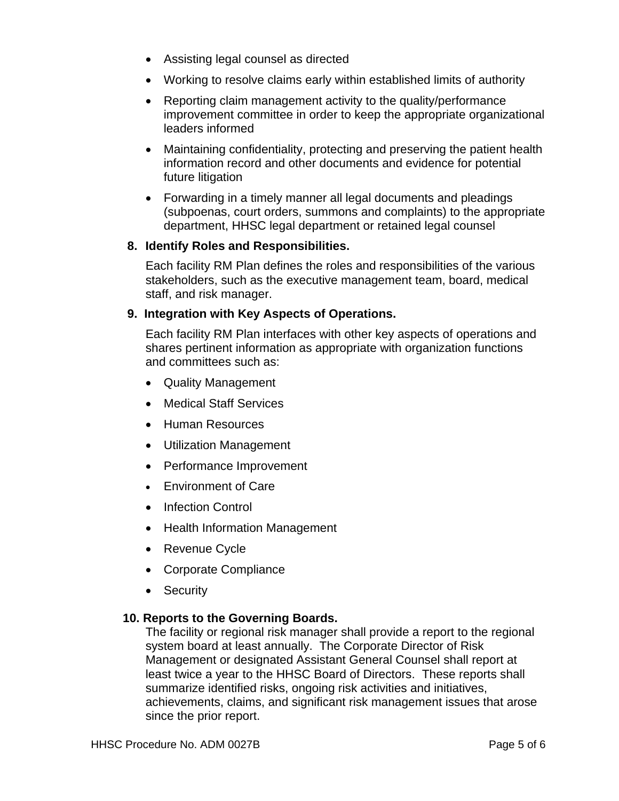- Assisting legal counsel as directed
- Working to resolve claims early within established limits of authority
- Reporting claim management activity to the quality/performance improvement committee in order to keep the appropriate organizational leaders informed
- Maintaining confidentiality, protecting and preserving the patient health information record and other documents and evidence for potential future litigation
- Forwarding in a timely manner all legal documents and pleadings (subpoenas, court orders, summons and complaints) to the appropriate department, HHSC legal department or retained legal counsel

# **8. Identify Roles and Responsibilities.**

Each facility RM Plan defines the roles and responsibilities of the various stakeholders, such as the executive management team, board, medical staff, and risk manager.

# **9. Integration with Key Aspects of Operations.**

Each facility RM Plan interfaces with other key aspects of operations and shares pertinent information as appropriate with organization functions and committees such as:

- Quality Management
- Medical Staff Services
- Human Resources
- Utilization Management
- Performance Improvement
- Fnvironment of Care
- Infection Control
- Health Information Management
- Revenue Cycle
- Corporate Compliance
- Security

### **10. Reports to the Governing Boards.**

The facility or regional risk manager shall provide a report to the regional system board at least annually. The Corporate Director of Risk Management or designated Assistant General Counsel shall report at least twice a year to the HHSC Board of Directors. These reports shall summarize identified risks, ongoing risk activities and initiatives, achievements, claims, and significant risk management issues that arose since the prior report.